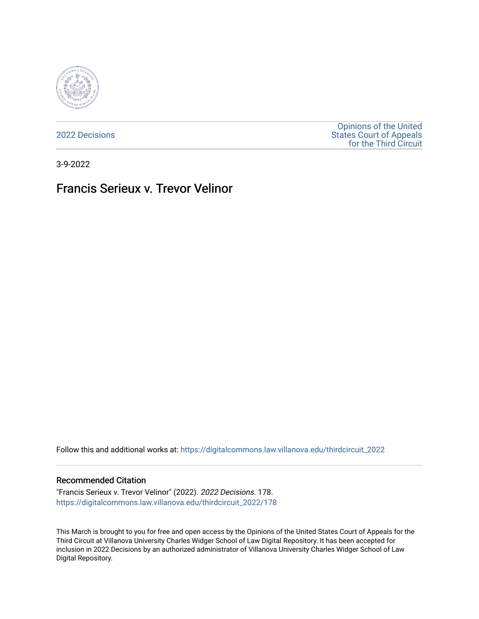

[2022 Decisions](https://digitalcommons.law.villanova.edu/thirdcircuit_2022)

[Opinions of the United](https://digitalcommons.law.villanova.edu/thirdcircuit)  [States Court of Appeals](https://digitalcommons.law.villanova.edu/thirdcircuit)  [for the Third Circuit](https://digitalcommons.law.villanova.edu/thirdcircuit) 

3-9-2022

# Francis Serieux v. Trevor Velinor

Follow this and additional works at: [https://digitalcommons.law.villanova.edu/thirdcircuit\\_2022](https://digitalcommons.law.villanova.edu/thirdcircuit_2022?utm_source=digitalcommons.law.villanova.edu%2Fthirdcircuit_2022%2F178&utm_medium=PDF&utm_campaign=PDFCoverPages) 

#### Recommended Citation

"Francis Serieux v. Trevor Velinor" (2022). 2022 Decisions. 178. [https://digitalcommons.law.villanova.edu/thirdcircuit\\_2022/178](https://digitalcommons.law.villanova.edu/thirdcircuit_2022/178?utm_source=digitalcommons.law.villanova.edu%2Fthirdcircuit_2022%2F178&utm_medium=PDF&utm_campaign=PDFCoverPages)

This March is brought to you for free and open access by the Opinions of the United States Court of Appeals for the Third Circuit at Villanova University Charles Widger School of Law Digital Repository. It has been accepted for inclusion in 2022 Decisions by an authorized administrator of Villanova University Charles Widger School of Law Digital Repository.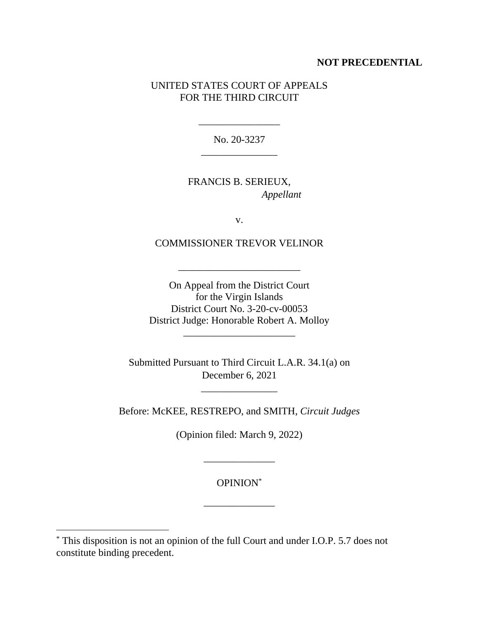#### **NOT PRECEDENTIAL**

## UNITED STATES COURT OF APPEALS FOR THE THIRD CIRCUIT

No. 20-3237 \_\_\_\_\_\_\_\_\_\_\_\_\_\_\_

\_\_\_\_\_\_\_\_\_\_\_\_\_\_\_\_

FRANCIS B. SERIEUX, *Appellant*

v.

COMMISSIONER TREVOR VELINOR

\_\_\_\_\_\_\_\_\_\_\_\_\_\_\_\_\_\_\_\_\_\_\_\_

On Appeal from the District Court for the Virgin Islands District Court No. 3-20-cv-00053 District Judge: Honorable Robert A. Molloy

\_\_\_\_\_\_\_\_\_\_\_\_\_\_\_\_\_\_\_\_\_\_

Submitted Pursuant to Third Circuit L.A.R. 34.1(a) on December 6, 2021

\_\_\_\_\_\_\_\_\_\_\_\_\_\_\_

Before: McKEE, RESTREPO, and SMITH, *Circuit Judges*

(Opinion filed: March 9, 2022)

\_\_\_\_\_\_\_\_\_\_\_\_\_\_

OPINION\*

\_\_\_\_\_\_\_\_\_\_\_\_\_\_

<sup>\*</sup> This disposition is not an opinion of the full Court and under I.O.P. 5.7 does not constitute binding precedent.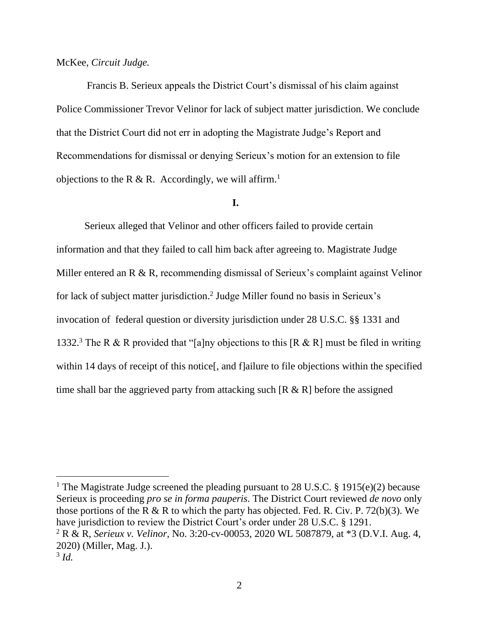#### McKee, *Circuit Judge.*

Francis B. Serieux appeals the District Court's dismissal of his claim against Police Commissioner Trevor Velinor for lack of subject matter jurisdiction. We conclude that the District Court did not err in adopting the Magistrate Judge's Report and Recommendations for dismissal or denying Serieux's motion for an extension to file objections to the R & R. Accordingly, we will affirm.<sup>1</sup>

## **I.**

Serieux alleged that Velinor and other officers failed to provide certain information and that they failed to call him back after agreeing to. Magistrate Judge Miller entered an R & R, recommending dismissal of Serieux's complaint against Velinor for lack of subject matter jurisdiction.<sup>2</sup> Judge Miller found no basis in Serieux's invocation of federal question or diversity jurisdiction under 28 U.S.C. §§ 1331 and 1332.<sup>3</sup> The R & R provided that "[a]ny objections to this [R & R] must be filed in writing within 14 days of receipt of this notice<sup>[</sup>, and f]ailure to file objections within the specified time shall bar the aggrieved party from attacking such  $[R \& R]$  before the assigned

<sup>1</sup> The Magistrate Judge screened the pleading pursuant to 28 U.S.C. § 1915(e)(2) because Serieux is proceeding *pro se in forma pauperis*. The District Court reviewed *de novo* only those portions of the R & R to which the party has objected. Fed. R. Civ. P. 72(b)(3). We have jurisdiction to review the District Court's order under 28 U.S.C. § 1291. <sup>2</sup> R & R, *Serieux v. Velinor*, No. 3:20-cv-00053, 2020 WL 5087879, at \*3 (D.V.I. Aug. 4, 2020) (Miller, Mag. J.).

<sup>3</sup> *Id.*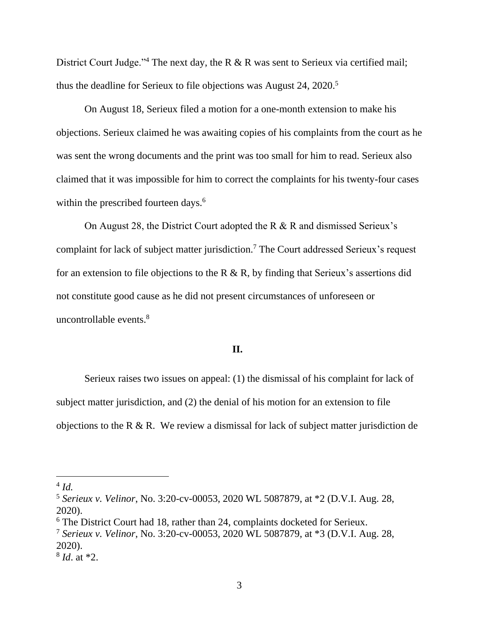District Court Judge."<sup>4</sup> The next day, the R & R was sent to Serieux via certified mail; thus the deadline for Serieux to file objections was August 24, 2020.<sup>5</sup>

On August 18, Serieux filed a motion for a one-month extension to make his objections. Serieux claimed he was awaiting copies of his complaints from the court as he was sent the wrong documents and the print was too small for him to read. Serieux also claimed that it was impossible for him to correct the complaints for his twenty-four cases within the prescribed fourteen days.<sup>6</sup>

On August 28, the District Court adopted the R & R and dismissed Serieux's complaint for lack of subject matter jurisdiction.<sup>7</sup> The Court addressed Serieux's request for an extension to file objections to the R  $\&$  R, by finding that Serieux's assertions did not constitute good cause as he did not present circumstances of unforeseen or uncontrollable events.<sup>8</sup>

## **II.**

Serieux raises two issues on appeal: (1) the dismissal of his complaint for lack of subject matter jurisdiction, and (2) the denial of his motion for an extension to file objections to the R & R. We review a dismissal for lack of subject matter jurisdiction de

<sup>4</sup> *Id.*

<sup>5</sup> *Serieux v. Velinor*, No. 3:20-cv-00053, 2020 WL 5087879, at \*2 (D.V.I. Aug. 28, 2020).

<sup>&</sup>lt;sup>6</sup> The District Court had 18, rather than 24, complaints docketed for Serieux.

<sup>7</sup> *Serieux v. Velinor*, No. 3:20-cv-00053, 2020 WL 5087879, at \*3 (D.V.I. Aug. 28, 2020).

<sup>8</sup> *Id*. at \*2.